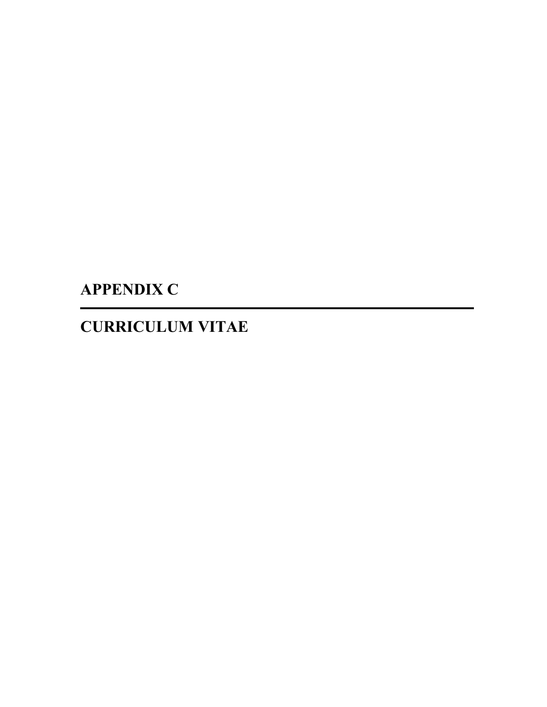# **APPENDIX C**

## **CURRICULUM VITAE**